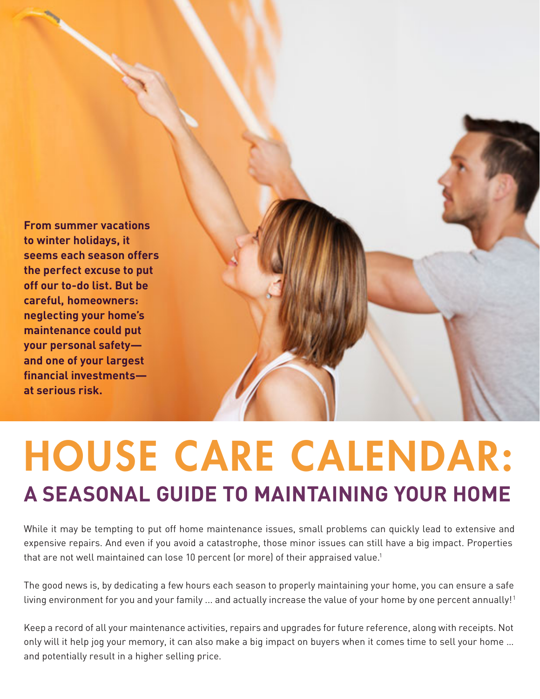

# **A SEASONAL GUIDE TO MAINTAINING YOUR HOME** HOUSE CARE CALENDAR:

While it may be tempting to put off home maintenance issues, small problems can quickly lead to extensive and expensive repairs. And even if you avoid a catastrophe, those minor issues can still have a big impact. Properties that are not well maintained can lose 10 percent (or more) of their appraised value.<sup>1</sup>

The good news is, by dedicating a few hours each season to properly maintaining your home, you can ensure a safe living environment for you and your family ... and actually increase the value of your home by one percent annually!<sup>1</sup>

Keep a record of all your maintenance activities, repairs and upgrades for future reference, along with receipts. Not only will it help jog your memory, it can also make a big impact on buyers when it comes time to sell your home … and potentially result in a higher selling price.